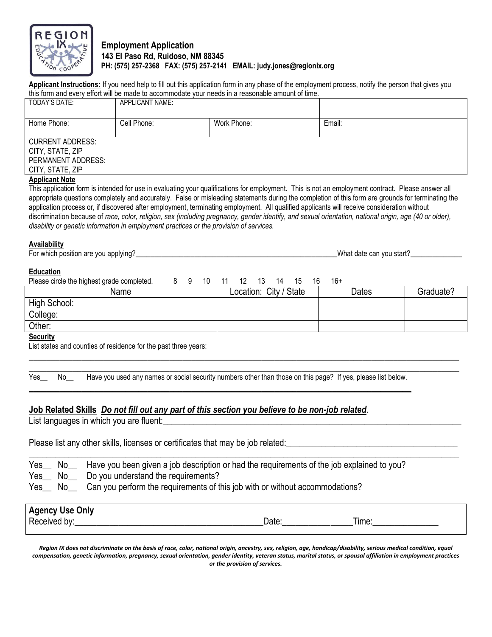

# **Employment Application 143 El Paso Rd, Ruidoso, NM 88345 PH: (575) 257-2368 FAX: (575) 257-2141 EMAIL: judy.jones@regionix.org**

**Applicant Instructions:** If you need help to fill out this application form in any phase of the employment process, notify the person that gives you this form and every effort will be made to accommodate your needs in a reasonable amount of time.

| TODAY'S DATE:           | <b>APPLICANT NAME:</b> |             |        |
|-------------------------|------------------------|-------------|--------|
| Home Phone:             | Cell Phone:            | Work Phone: | Email: |
| <b>CURRENT ADDRESS:</b> |                        |             |        |
| CITY, STATE, ZIP        |                        |             |        |
| PERMANENT ADDRESS:      |                        |             |        |
| CITY, STATE, ZIP        |                        |             |        |

#### **Applicant Note**

This application form is intended for use in evaluating your qualifications for employment. This is not an employment contract. Please answer all appropriate questions completely and accurately. False or misleading statements during the completion of this form are grounds for terminating the application process or, if discovered after employment, terminating employment. All qualified applicants will receive consideration without discrimination because of *race, color, religion, sex (including pregnancy, gender identify, and sexual orientation, national origin, age (40 or older), disability or genetic information in employment practices or the provision of services.*

## **Availability**

| --<br>ror wh<br>position<br>e vou applving'<br>which<br>ı are<br>. . | Wha.<br>star<br>VOU<br>$\sim$<br>aate<br>-call |
|----------------------------------------------------------------------|------------------------------------------------|
|                                                                      |                                                |

## **Education**

| Please circle the highest grade completed. | a | 10 |  | 14 | 15                     | 16 | $16+$ |       |           |
|--------------------------------------------|---|----|--|----|------------------------|----|-------|-------|-----------|
| Name                                       |   |    |  |    | Location: City / State |    |       | Dates | Graduate? |
| High School:                               |   |    |  |    |                        |    |       |       |           |
| College:                                   |   |    |  |    |                        |    |       |       |           |
| Other:                                     |   |    |  |    |                        |    |       |       |           |
| $\mathbf{r}$                               |   |    |  |    |                        |    |       |       |           |

 $\overline{\phantom{a}}$  , and the contribution of the contribution of the contribution of the contribution of the contribution of the contribution of the contribution of the contribution of the contribution of the contribution of the  $\_$  , and the set of the set of the set of the set of the set of the set of the set of the set of the set of the set of the set of the set of the set of the set of the set of the set of the set of the set of the set of th

## **Security**

List states and counties of residence for the past three years:

Yes No Have you used any names or social security numbers other than those on this page? If yes, please list below. **\_\_\_\_\_\_\_\_\_\_\_\_\_\_\_\_\_\_\_\_\_\_\_\_\_\_\_\_\_\_\_\_\_\_\_\_\_\_\_\_\_\_\_\_\_\_\_\_\_\_\_\_\_\_\_\_\_\_\_\_\_\_\_\_\_\_\_\_\_\_\_\_\_\_\_\_\_\_\_\_\_\_\_\_\_\_\_**

# **Job Related Skills** *Do not fill out any part of this section you believe to be non-job related.*

List languages in which you are fluent:

Please list any other skills, licenses or certificates that may be job related:

|  |  |  |  |  |  | Yes_ No_ Have you been given a job description or had the requirements of the job explained to you? |
|--|--|--|--|--|--|-----------------------------------------------------------------------------------------------------|
|--|--|--|--|--|--|-----------------------------------------------------------------------------------------------------|

- Yes\_\_ No\_\_ Do you understand the requirements?
- Yes\_\_ No\_\_ Can you perform the requirements of this job with or without accommodations?

| <b>Agency Use Only</b> |      |       |
|------------------------|------|-------|
| Received by:           | Date | Time: |
|                        |      |       |

 $\_$  , and the set of the set of the set of the set of the set of the set of the set of the set of the set of the set of the set of the set of the set of the set of the set of the set of the set of the set of the set of th

*Region IX does not discriminate on the basis of race, color, national origin, ancestry, sex, religion, age, handicap/disability, serious medical condition, equal compensation, genetic information, pregnancy, sexual orientation, gender identity, veteran status, marital status, or spousal affiliation in employment practices or the provision of services.*